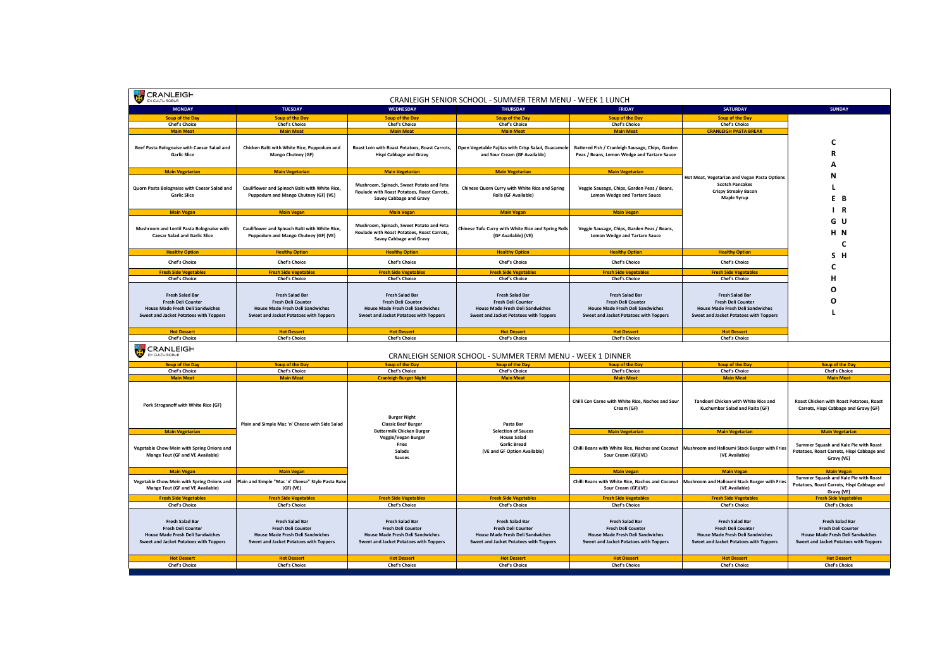| CRANLEIGH<br>U<br>CRANLEIGH SENIOR SCHOOL - SUMMER TERM MENU - WEEK 1 LUNCH<br>EX CULTU ROBUR                                                                                          |                                                                                                                                                                                        |                                                                                                                                                                                        |                                                                                                                                                                                        |                                                                                                                                                                                        |                                                                                                                                                                                        |                                                                                                                                                                                        |  |
|----------------------------------------------------------------------------------------------------------------------------------------------------------------------------------------|----------------------------------------------------------------------------------------------------------------------------------------------------------------------------------------|----------------------------------------------------------------------------------------------------------------------------------------------------------------------------------------|----------------------------------------------------------------------------------------------------------------------------------------------------------------------------------------|----------------------------------------------------------------------------------------------------------------------------------------------------------------------------------------|----------------------------------------------------------------------------------------------------------------------------------------------------------------------------------------|----------------------------------------------------------------------------------------------------------------------------------------------------------------------------------------|--|
| <b>MONDAY</b>                                                                                                                                                                          | <b>TUESDAY</b>                                                                                                                                                                         | WEDNESDAY                                                                                                                                                                              | <b>THURSDAY</b>                                                                                                                                                                        | <b>FRIDAY</b>                                                                                                                                                                          | <b>SATURDAY</b>                                                                                                                                                                        | <b>SUNDAY</b>                                                                                                                                                                          |  |
| <b>Soup of the Day</b>                                                                                                                                                                 | <b>Soup of the Day</b>                                                                                                                                                                 | <b>Soup of the Day</b>                                                                                                                                                                 | <b>Soup of the Day</b>                                                                                                                                                                 | <b>Soup of the Day</b>                                                                                                                                                                 | <b>Soup of the Day</b>                                                                                                                                                                 |                                                                                                                                                                                        |  |
| <b>Chef's Choice</b><br><b>Main Meat</b>                                                                                                                                               | <b>Chef's Choice</b><br><b>Main Meat</b>                                                                                                                                               | <b>Chef's Choice</b><br><b>Main Meat</b>                                                                                                                                               | <b>Chef's Choice</b><br><b>Main Meat</b>                                                                                                                                               | <b>Chef's Choice</b><br><b>Main Meat</b>                                                                                                                                               | <b>Chef's Choice</b><br><b>CRANLEIGH PASTA BREAK</b>                                                                                                                                   |                                                                                                                                                                                        |  |
|                                                                                                                                                                                        |                                                                                                                                                                                        |                                                                                                                                                                                        |                                                                                                                                                                                        |                                                                                                                                                                                        |                                                                                                                                                                                        |                                                                                                                                                                                        |  |
| Beef Pasta Bolognaise with Caesar Salad and<br><b>Garlic Slice</b>                                                                                                                     | Chicken Balti with White Rice, Puppodum and<br>Mango Chutney (GF)                                                                                                                      | Roast Loin with Roast Potatoes, Roast Carrots,<br><b>Hispi Cabbage and Gravy</b>                                                                                                       | Open Vegetable Fajitas with Crisp Salad, Guacamole<br>and Sour Cream (GF Available)                                                                                                    | Battered Fish / Cranleigh Sausage, Chips, Garden<br>Peas / Beans, Lemon Wedge and Tartare Sauce                                                                                        |                                                                                                                                                                                        | C<br>R                                                                                                                                                                                 |  |
|                                                                                                                                                                                        |                                                                                                                                                                                        |                                                                                                                                                                                        |                                                                                                                                                                                        |                                                                                                                                                                                        |                                                                                                                                                                                        | A                                                                                                                                                                                      |  |
| <b>Main Vegetarian</b>                                                                                                                                                                 | <b>Main Vegetarian</b>                                                                                                                                                                 | <b>Main Vegetarian</b>                                                                                                                                                                 | <b>Main Vegetarian</b>                                                                                                                                                                 | <b>Main Vegetarian</b>                                                                                                                                                                 | Hot Meat, Vegetarian and Vegan Pasta Options                                                                                                                                           | N                                                                                                                                                                                      |  |
| Quorn Pasta Bolognaise with Caesar Salad and<br><b>Garlic Slice</b>                                                                                                                    | Cauliflower and Spinach Balti with White Rice,<br>Puppodum and Mango Chutney (GF) (VE)                                                                                                 | Mushroom, Spinach, Sweet Potato and Feta<br>Roulade with Roast Potatoes, Roast Carrots,<br>Savoy Cabbage and Gravy                                                                     | Chinese Quorn Curry with White Rice and Spring<br><b>Rolls (GF Available)</b>                                                                                                          | Veggie Sausage, Chips, Garden Peas / Beans,<br><b>Lemon Wedge and Tartare Sauce</b>                                                                                                    | <b>Scotch Pancakes</b><br><b>Crispy Streaky Bacon</b><br><b>Maple Syrup</b>                                                                                                            | E B                                                                                                                                                                                    |  |
|                                                                                                                                                                                        |                                                                                                                                                                                        |                                                                                                                                                                                        |                                                                                                                                                                                        |                                                                                                                                                                                        |                                                                                                                                                                                        |                                                                                                                                                                                        |  |
| <b>Main Vegan</b>                                                                                                                                                                      | <b>Main Vegan</b>                                                                                                                                                                      | <b>Main Vegan</b>                                                                                                                                                                      | <b>Main Vegan</b>                                                                                                                                                                      | <b>Main Vegan</b>                                                                                                                                                                      |                                                                                                                                                                                        | I R                                                                                                                                                                                    |  |
| Mushroom and Lentil Pasta Bolognaise with<br><b>Caesar Salad and Garlic Slice</b>                                                                                                      | Cauliflower and Spinach Balti with White Rice,<br>Puppodum and Mango Chutney (GF) (VE)                                                                                                 | Mushroom, Spinach, Sweet Potato and Feta<br>Roulade with Roast Potatoes, Roast Carrots,<br>Savoy Cabbage and Gravy                                                                     | Chinese Tofu Curry with White Rice and Spring Rolls<br>(GF Available) (VE)                                                                                                             | Veggie Sausage, Chips, Garden Peas / Beans,<br><b>Lemon Wedge and Tartare Sauce</b>                                                                                                    |                                                                                                                                                                                        | G U<br>H N<br>C                                                                                                                                                                        |  |
| <b>Healthy Option</b>                                                                                                                                                                  | <b>Healthy Option</b>                                                                                                                                                                  | <b>Healthy Option</b>                                                                                                                                                                  | <b>Healthy Option</b>                                                                                                                                                                  | <b>Healthy Option</b>                                                                                                                                                                  | <b>Healthy Option</b>                                                                                                                                                                  | S H                                                                                                                                                                                    |  |
| <b>Chef's Choice</b>                                                                                                                                                                   | <b>Chef's Choice</b>                                                                                                                                                                   | <b>Chef's Choice</b>                                                                                                                                                                   | <b>Chef's Choice</b>                                                                                                                                                                   | <b>Chef's Choice</b>                                                                                                                                                                   | <b>Chef's Choice</b>                                                                                                                                                                   | С                                                                                                                                                                                      |  |
| <b>Fresh Side Vegetables</b>                                                                                                                                                           | <b>Fresh Side Vegetables</b>                                                                                                                                                           | <b>Fresh Side Vegetables</b>                                                                                                                                                           | <b>Fresh Side Vegetables</b>                                                                                                                                                           | <b>Fresh Side Vegetables</b>                                                                                                                                                           | <b>Fresh Side Vegetables</b>                                                                                                                                                           |                                                                                                                                                                                        |  |
| <b>Chef's Choice</b>                                                                                                                                                                   | <b>Chef's Choice</b>                                                                                                                                                                   | <b>Chef's Choice</b>                                                                                                                                                                   | <b>Chef's Choice</b>                                                                                                                                                                   | <b>Chef's Choice</b>                                                                                                                                                                   | <b>Chef's Choice</b>                                                                                                                                                                   | н                                                                                                                                                                                      |  |
| <b>Fresh Salad Bar</b>                                                                                                                                                                 | <b>Fresh Salad Bar</b>                                                                                                                                                                 | <b>Fresh Salad Bar</b>                                                                                                                                                                 | <b>Fresh Salad Bar</b>                                                                                                                                                                 | <b>Fresh Salad Bar</b>                                                                                                                                                                 | <b>Fresh Salad Bar</b>                                                                                                                                                                 | O                                                                                                                                                                                      |  |
| Fresh Deli Counter                                                                                                                                                                     | Fresh Deli Counter                                                                                                                                                                     | Fresh Deli Counter                                                                                                                                                                     | Fresh Deli Counter                                                                                                                                                                     | <b>Fresh Deli Counter</b>                                                                                                                                                              | <b>Fresh Deli Counter</b>                                                                                                                                                              | O                                                                                                                                                                                      |  |
| <b>House Made Fresh Deli Sandwiches</b>                                                                                                                                                | <b>House Made Fresh Deli Sandwiches</b>                                                                                                                                                | <b>House Made Fresh Deli Sandwiches</b>                                                                                                                                                | <b>House Made Fresh Deli Sandwiches</b>                                                                                                                                                | <b>House Made Fresh Deli Sandwiches</b>                                                                                                                                                | <b>House Made Fresh Deli Sandwiches</b>                                                                                                                                                |                                                                                                                                                                                        |  |
| Sweet and Jacket Potatoes with Toppers                                                                                                                                                 | Sweet and Jacket Potatoes with Toppers                                                                                                                                                 | Sweet and Jacket Potatoes with Toppers                                                                                                                                                 | Sweet and Jacket Potatoes with Toppers                                                                                                                                                 | Sweet and Jacket Potatoes with Toppers                                                                                                                                                 | Sweet and Jacket Potatoes with Toppers                                                                                                                                                 |                                                                                                                                                                                        |  |
| <b>Hot Dessert</b>                                                                                                                                                                     | <b>Hot Dessert</b>                                                                                                                                                                     | <b>Hot Dessert</b>                                                                                                                                                                     | <b>Hot Dessert</b>                                                                                                                                                                     | <b>Hot Dessert</b>                                                                                                                                                                     | <b>Hot Dessert</b>                                                                                                                                                                     |                                                                                                                                                                                        |  |
| <b>Chef's Choice</b>                                                                                                                                                                   | <b>Chef's Choice</b>                                                                                                                                                                   | <b>Chef's Choice</b>                                                                                                                                                                   | <b>Chef's Choice</b>                                                                                                                                                                   | <b>Chef's Choice</b>                                                                                                                                                                   | <b>Chef's Choice</b>                                                                                                                                                                   |                                                                                                                                                                                        |  |
| <b>CRANLEIGH</b><br>EX CULTU ROBUR<br>CRANLEIGH SENIOR SCHOOL - SUMMER TERM MENU - WEEK 1 DINNER                                                                                       |                                                                                                                                                                                        |                                                                                                                                                                                        |                                                                                                                                                                                        |                                                                                                                                                                                        |                                                                                                                                                                                        |                                                                                                                                                                                        |  |
|                                                                                                                                                                                        |                                                                                                                                                                                        |                                                                                                                                                                                        |                                                                                                                                                                                        |                                                                                                                                                                                        |                                                                                                                                                                                        |                                                                                                                                                                                        |  |
| <b>Soup of the Day</b>                                                                                                                                                                 | <b>Soup of the Day</b>                                                                                                                                                                 | <b>Soup of the Day</b>                                                                                                                                                                 | <b>Soup of the Day</b>                                                                                                                                                                 | <b>Soup of the Day</b>                                                                                                                                                                 | <b>Soup of the Day</b>                                                                                                                                                                 | <b>Soup of the Day</b>                                                                                                                                                                 |  |
| <b>Chef's Choice</b><br><b>Main Meat</b>                                                                                                                                               | <b>Chef's Choice</b><br><b>Main Meat</b>                                                                                                                                               | <b>Chef's Choice</b>                                                                                                                                                                   | <b>Chef's Choice</b><br><b>Main Meat</b>                                                                                                                                               | <b>Chef's Choice</b><br><b>Main Meat</b>                                                                                                                                               | <b>Chef's Choice</b><br><b>Main Meat</b>                                                                                                                                               | <b>Chef's Choice</b><br><b>Main Meat</b>                                                                                                                                               |  |
| Pork Stroganoff with White Rice (GF)                                                                                                                                                   | Plain and Simple Mac 'n' Cheese with Side Salad                                                                                                                                        | <b>Cranleigh Burger Night</b><br><b>Burger Night</b><br><b>Classic Beef Burger</b>                                                                                                     | Pasta Bar                                                                                                                                                                              | Chilli Con Carne with White Rice, Nachos and Sour<br>Cream (GF)                                                                                                                        | Tandoori Chicken with White Rice and<br>Kuchumbar Salad and Raita (GF)                                                                                                                 | Roast Chicken with Roast Potatoes, Roast<br>Carrots, Hispi Cabbage and Gravy (GF)                                                                                                      |  |
| <b>Main Vegetarian</b>                                                                                                                                                                 |                                                                                                                                                                                        | <b>Buttermilk Chicken Burger</b>                                                                                                                                                       | <b>Selection of Sauces</b>                                                                                                                                                             | <b>Main Vegetarian</b>                                                                                                                                                                 | <b>Main Vegetarian</b>                                                                                                                                                                 | <b>Main Vegetarian</b>                                                                                                                                                                 |  |
| Vegetable Chow Mein with Spring Onions and<br>Mange Tout (GF and VE Available)                                                                                                         |                                                                                                                                                                                        | Veggie/Vegan Burger<br>Fries<br>Salads<br>Sauces                                                                                                                                       | <b>House Salad</b><br><b>Garlic Bread</b><br>(VE and GF Option Available)                                                                                                              | Chilli Beans with White Rice, Nachos and Coconut<br>Sour Cream (GF)(VE)                                                                                                                | Mushroom and Halloumi Stack Burger with Fries<br>(VE Available)                                                                                                                        | Summer Squash and Kale Pie with Roast<br>Potatoes, Roast Carrots, Hispi Cabbage and<br>Gravy (VE)                                                                                      |  |
| <b>Main Vegan</b>                                                                                                                                                                      | <b>Main Vegan</b>                                                                                                                                                                      |                                                                                                                                                                                        |                                                                                                                                                                                        | <b>Main Vegan</b>                                                                                                                                                                      | <b>Main Vegan</b>                                                                                                                                                                      | <b>Main Vegan</b>                                                                                                                                                                      |  |
| Vegetable Chow Mein with Spring Onions and<br>Mange Tout (GF and VE Available)                                                                                                         | Plain and Simple "Mac 'n' Cheese" Style Pasta Bake<br>(GF) (VE)                                                                                                                        |                                                                                                                                                                                        |                                                                                                                                                                                        | Chilli Beans with White Rice, Nachos and Coconut<br>Sour Cream (GF)(VE)                                                                                                                | Mushroom and Halloumi Stack Burger with Fries<br>(VE Available)                                                                                                                        | Summer Squash and Kale Pie with Roast<br>Potatoes, Roast Carrots, Hispi Cabbage and<br>Gravy (VE)                                                                                      |  |
| <b>Fresh Side Vegetables</b>                                                                                                                                                           | <b>Fresh Side Vegetables</b>                                                                                                                                                           | <b>Fresh Side Vegetables</b>                                                                                                                                                           | <b>Fresh Side Vegetables</b>                                                                                                                                                           | <b>Fresh Side Vegetables</b>                                                                                                                                                           | <b>Fresh Side Vegetables</b>                                                                                                                                                           | <b>Fresh Side Vegetables</b>                                                                                                                                                           |  |
| <b>Chef's Choice</b><br><b>Fresh Salad Bar</b><br><b>Fresh Deli Counter</b><br><b>House Made Fresh Deli Sandwiches</b><br>Sweet and Jacket Potatoes with Toppers<br><b>Hot Dessert</b> | <b>Chef's Choice</b><br><b>Fresh Salad Bar</b><br>Fresh Deli Counter<br><b>House Made Fresh Deli Sandwiches</b><br><b>Sweet and Jacket Potatoes with Toppers</b><br><b>Hot Dessert</b> | <b>Chef's Choice</b><br><b>Fresh Salad Bar</b><br>Fresh Deli Counter<br><b>House Made Fresh Deli Sandwiches</b><br><b>Sweet and Jacket Potatoes with Toppers</b><br><b>Hot Dessert</b> | <b>Chef's Choice</b><br><b>Fresh Salad Bar</b><br>Fresh Deli Counter<br><b>House Made Fresh Deli Sandwiches</b><br><b>Sweet and Jacket Potatoes with Toppers</b><br><b>Hot Dessert</b> | <b>Chef's Choice</b><br><b>Fresh Salad Bar</b><br><b>Fresh Deli Counter</b><br><b>House Made Fresh Deli Sandwiches</b><br>Sweet and Jacket Potatoes with Toppers<br><b>Hot Dessert</b> | <b>Chef's Choice</b><br><b>Fresh Salad Bar</b><br>Fresh Deli Counter<br><b>House Made Fresh Deli Sandwiches</b><br><b>Sweet and Jacket Potatoes with Toppers</b><br><b>Hot Dessert</b> | <b>Chef's Choice</b><br><b>Fresh Salad Bar</b><br>Fresh Deli Counter<br><b>House Made Fresh Deli Sandwiches</b><br><b>Sweet and Jacket Potatoes with Toppers</b><br><b>Hot Dessert</b> |  |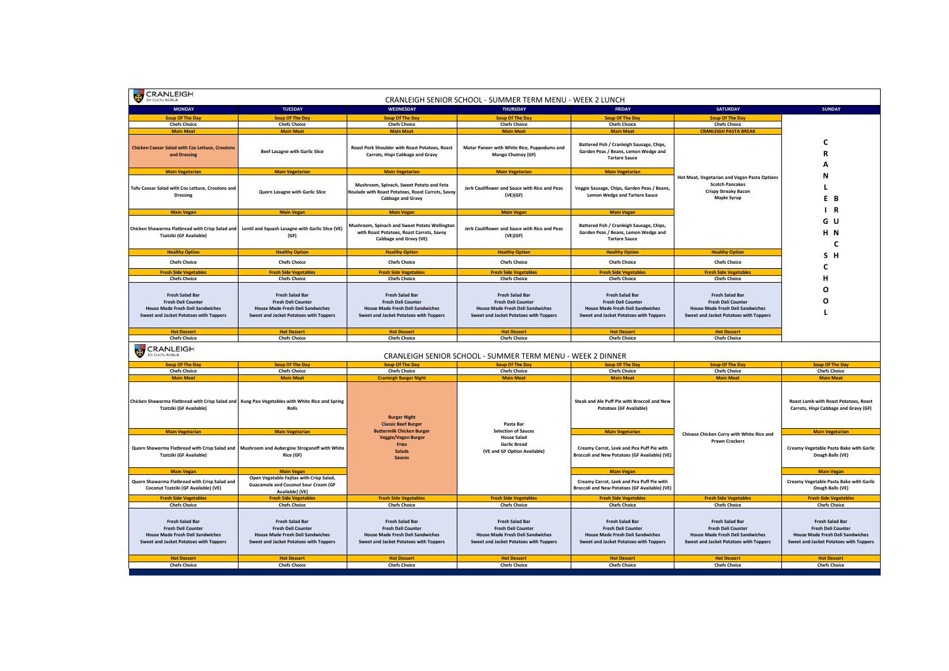| <b>CRANLEIGH</b><br>EX CULTUROBUR                                                                                                                                                            |                                                                                                                                                                                |                                                                                                                                                                                       | CRANLEIGH SENIOR SCHOOL - SUMMER TERM MENU - WEEK 2 LUNCH                                                                                                                             |                                                                                                                                                                                       |                                                                                                                                                                                              |                                                                                                                                                                                |
|----------------------------------------------------------------------------------------------------------------------------------------------------------------------------------------------|--------------------------------------------------------------------------------------------------------------------------------------------------------------------------------|---------------------------------------------------------------------------------------------------------------------------------------------------------------------------------------|---------------------------------------------------------------------------------------------------------------------------------------------------------------------------------------|---------------------------------------------------------------------------------------------------------------------------------------------------------------------------------------|----------------------------------------------------------------------------------------------------------------------------------------------------------------------------------------------|--------------------------------------------------------------------------------------------------------------------------------------------------------------------------------|
| <b>MONDAY</b>                                                                                                                                                                                | <b>TUESDAY</b>                                                                                                                                                                 | <b>WEDNESDAY</b>                                                                                                                                                                      | <b>THURSDAY</b>                                                                                                                                                                       | <b>FRIDAY</b>                                                                                                                                                                         | <b>SATURDAY</b>                                                                                                                                                                              | <b>SUNDAY</b>                                                                                                                                                                  |
| <b>Soup Of The Day</b>                                                                                                                                                                       | <b>Soup Of The Day</b>                                                                                                                                                         | <b>Soup Of The Day</b>                                                                                                                                                                | <b>Soup Of The Day</b>                                                                                                                                                                | <b>Soup Of The Day</b>                                                                                                                                                                | <b>Soup Of The Day</b>                                                                                                                                                                       |                                                                                                                                                                                |
| <b>Chefs Choice</b>                                                                                                                                                                          | <b>Chefs Choice</b>                                                                                                                                                            | <b>Chefs Choice</b>                                                                                                                                                                   | <b>Chefs Choice</b>                                                                                                                                                                   | <b>Chefs Choice</b>                                                                                                                                                                   | <b>Chefs Choice</b>                                                                                                                                                                          |                                                                                                                                                                                |
| <b>Main Meat</b>                                                                                                                                                                             | <b>Main Meat</b>                                                                                                                                                               | <b>Main Meat</b>                                                                                                                                                                      | <b>Main Meat</b>                                                                                                                                                                      | <b>Main Meat</b>                                                                                                                                                                      | <b>CRANLEIGH PASTA BREAK</b>                                                                                                                                                                 |                                                                                                                                                                                |
| <b>Chicken Caesar Salad with Cos Lettuce, Croutons</b><br>and Dressing                                                                                                                       | <b>Beef Lasagne with Garlic Slice</b>                                                                                                                                          | Roast Pork Shoulder with Roast Potatoes, Roast<br>Carrots, Hispi Cabbage and Gravy                                                                                                    | Matar Paneer with White Rice, Puppodums and<br>Mango Chutney (GF)                                                                                                                     | Battered Fish / Cranleigh Sausage, Chips,<br>Garden Peas / Beans, Lemon Wedge and<br><b>Tartare Sauce</b>                                                                             |                                                                                                                                                                                              | c<br>R<br>A                                                                                                                                                                    |
| <b>Main Vegetarian</b>                                                                                                                                                                       | <b>Main Vegetarian</b>                                                                                                                                                         | <b>Main Vegetarian</b>                                                                                                                                                                | <b>Main Vegetarian</b>                                                                                                                                                                | <b>Main Vegetarian</b>                                                                                                                                                                |                                                                                                                                                                                              |                                                                                                                                                                                |
| Tofu Caesar Salad with Cos Lettuce, Croutons and<br><b>Dressing</b>                                                                                                                          | Quorn Lasagne with Garlic Slice                                                                                                                                                | Mushroom, Spinach, Sweet Potato and Feta<br>Roulade with Roast Potatoes, Roast Carrots, Savoy<br>Cabbage and Gravy                                                                    | Jerk Cauliflower and Sauce with Rice and Peas<br>(VE)(GF)                                                                                                                             | Veggie Sausage, Chips, Garden Peas / Beans,<br><b>Lemon Wedge and Tartare Sauce</b>                                                                                                   | Hot Meat, Vegetarian and Vegan Pasta Options<br><b>Scotch Pancakes</b><br><b>Crispy Streaky Bacon</b><br><b>Maple Syrup</b>                                                                  | N<br>L<br>E.<br>B                                                                                                                                                              |
| <b>Main Vegan</b>                                                                                                                                                                            | <b>Main Vegan</b>                                                                                                                                                              | <b>Main Vegan</b>                                                                                                                                                                     | <b>Main Vegan</b>                                                                                                                                                                     | <b>Main Vegan</b>                                                                                                                                                                     |                                                                                                                                                                                              | $\mathsf{I}$ R                                                                                                                                                                 |
| Chicken Shawarma Flatbread with Crisp Salad and<br><b>Tzatziki (GF Available)</b>                                                                                                            | Lentil and Squash Lasagne with Garlic Slice (VE)<br>(GF)                                                                                                                       | Mushroom, Spinach and Sweet Potato Wellington<br>with Roast Potatoes, Roast Carrots, Savoy<br>Cabbage and Gravy (VE)                                                                  | Jerk Cauliflower and Sauce with Rice and Peas<br>(VE)(GF)                                                                                                                             | Battered Fish / Cranleigh Sausage, Chips,<br>Garden Peas / Beans, Lemon Wedge and<br><b>Tartare Sauce</b>                                                                             |                                                                                                                                                                                              | G U<br>H <sub>N</sub><br>C                                                                                                                                                     |
| <b>Healthy Option</b>                                                                                                                                                                        | <b>Healthy Option</b>                                                                                                                                                          | <b>Healthy Option</b>                                                                                                                                                                 | <b>Healthy Option</b>                                                                                                                                                                 | <b>Healthy Option</b>                                                                                                                                                                 | <b>Healthy Option</b>                                                                                                                                                                        | S H                                                                                                                                                                            |
| <b>Chefs Choice</b>                                                                                                                                                                          | <b>Chefs Choice</b>                                                                                                                                                            | <b>Chefs Choice</b>                                                                                                                                                                   | <b>Chefs Choice</b>                                                                                                                                                                   | <b>Chefs Choice</b>                                                                                                                                                                   | <b>Chefs Choice</b>                                                                                                                                                                          |                                                                                                                                                                                |
| <b>Fresh Side Vegetables</b>                                                                                                                                                                 | <b>Fresh Side Vegetables</b>                                                                                                                                                   | <b>Fresh Side Vegetables</b>                                                                                                                                                          | <b>Fresh Side Vegetables</b>                                                                                                                                                          | <b>Fresh Side Vegetables</b>                                                                                                                                                          | <b>Fresh Side Vegetables</b>                                                                                                                                                                 | c                                                                                                                                                                              |
| <b>Chefs Choice</b>                                                                                                                                                                          | <b>Chefs Choice</b>                                                                                                                                                            | <b>Chefs Choice</b>                                                                                                                                                                   | <b>Chefs Choice</b>                                                                                                                                                                   | <b>Chefs Choice</b>                                                                                                                                                                   | <b>Chefs Choice</b>                                                                                                                                                                          | н                                                                                                                                                                              |
| <b>Fresh Salad Bar</b><br>Fresh Deli Counter<br><b>House Made Fresh Deli Sandwiches</b><br>Sweet and Jacket Potatoes with Toppers                                                            | <b>Fresh Salad Bar</b><br><b>Fresh Deli Counter</b><br><b>House Made Fresh Deli Sandwiches</b><br>Sweet and Jacket Potatoes with Toppers                                       | <b>Fresh Salad Bar</b><br><b>Fresh Deli Counter</b><br><b>House Made Fresh Deli Sandwiches</b><br>Sweet and Jacket Potatoes with Toppers                                              | <b>Fresh Salad Bar</b><br>Fresh Deli Counter<br><b>House Made Fresh Deli Sandwiches</b><br>Sweet and Jacket Potatoes with Toppers                                                     | <b>Fresh Salad Bar</b><br><b>Fresh Deli Counter</b><br><b>House Made Fresh Deli Sandwiches</b><br>Sweet and Jacket Potatoes with Toppers                                              | <b>Fresh Salad Bar</b><br><b>Fresh Deli Counter</b><br><b>House Made Fresh Deli Sandwiches</b><br>Sweet and Jacket Potatoes with Toppers                                                     | O<br>O                                                                                                                                                                         |
| <b>Hot Dessert</b>                                                                                                                                                                           | <b>Hot Dessert</b>                                                                                                                                                             | <b>Hot Dessert</b>                                                                                                                                                                    | <b>Hot Dessert</b>                                                                                                                                                                    | <b>Hot Dessert</b>                                                                                                                                                                    | <b>Hot Dessert</b>                                                                                                                                                                           |                                                                                                                                                                                |
| <b>Chefs Choice</b>                                                                                                                                                                          | <b>Chefs Choice</b>                                                                                                                                                            | <b>Chefs Choice</b>                                                                                                                                                                   | <b>Chefs Choice</b>                                                                                                                                                                   | <b>Chefs Choice</b>                                                                                                                                                                   | <b>Chefs Choice</b>                                                                                                                                                                          |                                                                                                                                                                                |
| <b>CRANLEIGH</b><br>EX CULTU ROBUR                                                                                                                                                           |                                                                                                                                                                                |                                                                                                                                                                                       | CRANLEIGH SENIOR SCHOOL - SUMMER TERM MENU - WEEK 2 DINNER                                                                                                                            |                                                                                                                                                                                       |                                                                                                                                                                                              |                                                                                                                                                                                |
| <b>Soup Of The Day</b>                                                                                                                                                                       | <b>Soup Of The Day</b>                                                                                                                                                         | <b>Soup Of The Day</b>                                                                                                                                                                | <b>Soup Of The Day</b>                                                                                                                                                                | <b>Soup Of The Day</b>                                                                                                                                                                | Soup Of The Day                                                                                                                                                                              | <b>Soup Of The Day</b>                                                                                                                                                         |
| <b>Chefs Choice</b>                                                                                                                                                                          | <b>Chefs Choice</b>                                                                                                                                                            | <b>Chefs Choice</b>                                                                                                                                                                   | <b>Chefs Choice</b>                                                                                                                                                                   | <b>Chefs Choice</b>                                                                                                                                                                   | <b>Chefs Choice</b>                                                                                                                                                                          |                                                                                                                                                                                |
| <b>Main Meat</b>                                                                                                                                                                             | <b>Main Meat</b>                                                                                                                                                               | <b>Cranleigh Burger Night</b>                                                                                                                                                         |                                                                                                                                                                                       |                                                                                                                                                                                       |                                                                                                                                                                                              | <b>Chefs Choice</b>                                                                                                                                                            |
|                                                                                                                                                                                              |                                                                                                                                                                                |                                                                                                                                                                                       | <b>Main Meat</b>                                                                                                                                                                      | <b>Main Meat</b>                                                                                                                                                                      | <b>Main Meat</b>                                                                                                                                                                             | <b>Main Meat</b>                                                                                                                                                               |
| Tzatziki (GF Available)                                                                                                                                                                      | Chicken Shawarma Flatbread with Crisp Salad and Kung Pao Vegetables with White Rice and Spring<br>Rolls                                                                        | <b>Burger Night</b>                                                                                                                                                                   | Pasta Bar                                                                                                                                                                             | Steak and Ale Puff Pie with Broccoli and New<br><b>Potatoes (GF Available)</b>                                                                                                        |                                                                                                                                                                                              | Roast Lamb with Roast Potatoes, Roast<br>Carrots, Hispi Cabbage and Gravy (GF)                                                                                                 |
| <b>Main Vegetarian</b>                                                                                                                                                                       | <b>Main Vegetarian</b>                                                                                                                                                         | <b>Classic Beef Burger</b><br><b>Buttermilk Chicken Burger</b>                                                                                                                        | <b>Selection of Sauces</b>                                                                                                                                                            | <b>Main Vegetarian</b>                                                                                                                                                                |                                                                                                                                                                                              | <b>Main Vegetarian</b>                                                                                                                                                         |
| Quorn Shawarma Flatbread with Crisp Salad and   Mushroom and Aubergine Stroganoff with White<br><b>Tzatziki (GF Available)</b>                                                               | Rice (GF)                                                                                                                                                                      | <b>Veggie/Vegan Burger</b><br>Fries<br><b>Salads</b><br><b>Sauces</b>                                                                                                                 | <b>House Salad</b><br><b>Garlic Bread</b><br>(VE and GF Option Available)                                                                                                             | Creamy Carrot, Leek and Pea Puff Pie with<br><b>Broccoli and New Potatoes (GF Available) (VE)</b>                                                                                     | Chinese Chicken Curry with White Rice and<br><b>Prawn Crackers</b>                                                                                                                           | <b>Creamy Vegetable Pasta Bake with Garlic</b><br>Dough Balls (VE)                                                                                                             |
| <b>Main Vegan</b>                                                                                                                                                                            | <b>Main Vegan</b>                                                                                                                                                              |                                                                                                                                                                                       |                                                                                                                                                                                       | <b>Main Vegan</b>                                                                                                                                                                     |                                                                                                                                                                                              | <b>Main Vegan</b>                                                                                                                                                              |
| Quorn Shawarma Flatbread with Crisp Salad and<br>Coconut Tzatziki (GF Available) (VE)                                                                                                        | Open Vegetable Fajitas with Crisp Salad,<br><b>Guacamole and Coconut Sour Cream (GF</b><br>Available) (VE)                                                                     |                                                                                                                                                                                       |                                                                                                                                                                                       | Creamy Carrot, Leek and Pea Puff Pie with<br>Broccoli and New Potatoes (GF Available) (VE)                                                                                            |                                                                                                                                                                                              | Creamy Vegetable Pasta Bake with Garlic<br>Dough Balls (VE)                                                                                                                    |
| <b>Fresh Side Vegetables</b>                                                                                                                                                                 | <b>Fresh Side Vegetables</b>                                                                                                                                                   | <b>Fresh Side Vegetables</b>                                                                                                                                                          | <b>Fresh Side Vegetables</b>                                                                                                                                                          | <b>Fresh Side Vegetables</b>                                                                                                                                                          | <b>Fresh Side Vegetables</b>                                                                                                                                                                 | <b>Fresh Side Vegetables</b>                                                                                                                                                   |
| <b>Chefs Choice</b><br><b>Fresh Salad Bar</b><br><b>Fresh Deli Counter</b><br><b>House Made Fresh Deli Sandwiches</b><br><b>Sweet and Jacket Potatoes with Toppers</b><br><b>Hot Dessert</b> | <b>Chefs Choice</b><br><b>Fresh Salad Bar</b><br>Fresh Deli Counter<br><b>House Made Fresh Deli Sandwiches</b><br>Sweet and Jacket Potatoes with Toppers<br><b>Hot Dessert</b> | <b>Chefs Choice</b><br><b>Fresh Salad Bar</b><br><b>Fresh Deli Counter</b><br><b>House Made Fresh Deli Sandwiches</b><br>Sweet and Jacket Potatoes with Toppers<br><b>Hot Dessert</b> | <b>Chefs Choice</b><br><b>Fresh Salad Bar</b><br>Fresh Deli Counter<br><b>House Made Fresh Deli Sandwiches</b><br><b>Sweet and Jacket Potatoes with Toppers</b><br><b>Hot Dessert</b> | <b>Chefs Choice</b><br><b>Fresh Salad Bar</b><br>Fresh Deli Counter<br><b>House Made Fresh Deli Sandwiches</b><br><b>Sweet and Jacket Potatoes with Toppers</b><br><b>Hot Dessert</b> | <b>Chefs Choice</b><br><b>Fresh Salad Bar</b><br><b>Fresh Deli Counter</b><br><b>House Made Fresh Deli Sandwiches</b><br><b>Sweet and Jacket Potatoes with Toppers</b><br><b>Hot Dessert</b> | <b>Chefs Choice</b><br><b>Fresh Salad Bar</b><br>Fresh Deli Counter<br><b>House Made Fresh Deli Sandwiches</b><br>Sweet and Jacket Potatoes with Toppers<br><b>Hot Dessert</b> |